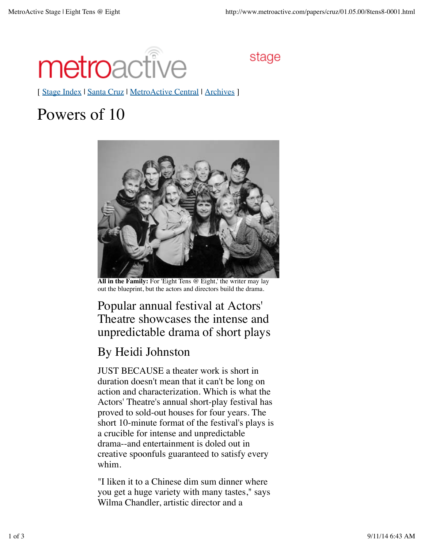

stage

[ Stage Index | Santa Cruz | MetroActive Central | Archives ]

## Powers of 10



**All in the Family:** For 'Eight Tens @ Eight,' the writer may lay out the blueprint, but the actors and directors build the drama.

## Popular annual festival at Actors' Theatre showcases the intense and unpredictable drama of short plays

## By Heidi Johnston

JUST BECAUSE a theater work is short in duration doesn't mean that it can't be long on action and characterization. Which is what the Actors' Theatre's annual short-play festival has proved to sold-out houses for four years. The short 10-minute format of the festival's plays is a crucible for intense and unpredictable drama--and entertainment is doled out in creative spoonfuls guaranteed to satisfy every whim.

"I liken it to a Chinese dim sum dinner where you get a huge variety with many tastes," says Wilma Chandler, artistic director and a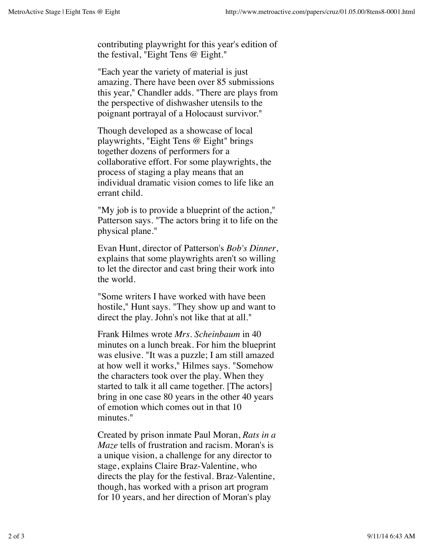contributing playwright for this year's edition of the festival, "Eight Tens @ Eight."

"Each year the variety of material is just amazing. There have been over 85 submissions this year," Chandler adds. "There are plays from the perspective of dishwasher utensils to the poignant portrayal of a Holocaust survivor."

Though developed as a showcase of local playwrights, "Eight Tens @ Eight" brings together dozens of performers for a collaborative effort. For some playwrights, the process of staging a play means that an individual dramatic vision comes to life like an errant child.

"My job is to provide a blueprint of the action," Patterson says. "The actors bring it to life on the physical plane."

Evan Hunt, director of Patterson's *Bob's Dinner*, explains that some playwrights aren't so willing to let the director and cast bring their work into the world.

"Some writers I have worked with have been hostile," Hunt says. "They show up and want to direct the play. John's not like that at all."

Frank Hilmes wrote *Mrs. Scheinbaum* in 40 minutes on a lunch break. For him the blueprint was elusive. "It was a puzzle; I am still amazed at how well it works," Hilmes says. "Somehow the characters took over the play. When they started to talk it all came together. [The actors] bring in one case 80 years in the other 40 years of emotion which comes out in that 10 minutes."

Created by prison inmate Paul Moran, *Rats in a Maze* tells of frustration and racism. Moran's is a unique vision, a challenge for any director to stage, explains Claire Braz-Valentine, who directs the play for the festival. Braz-Valentine, though, has worked with a prison art program for 10 years, and her direction of Moran's play